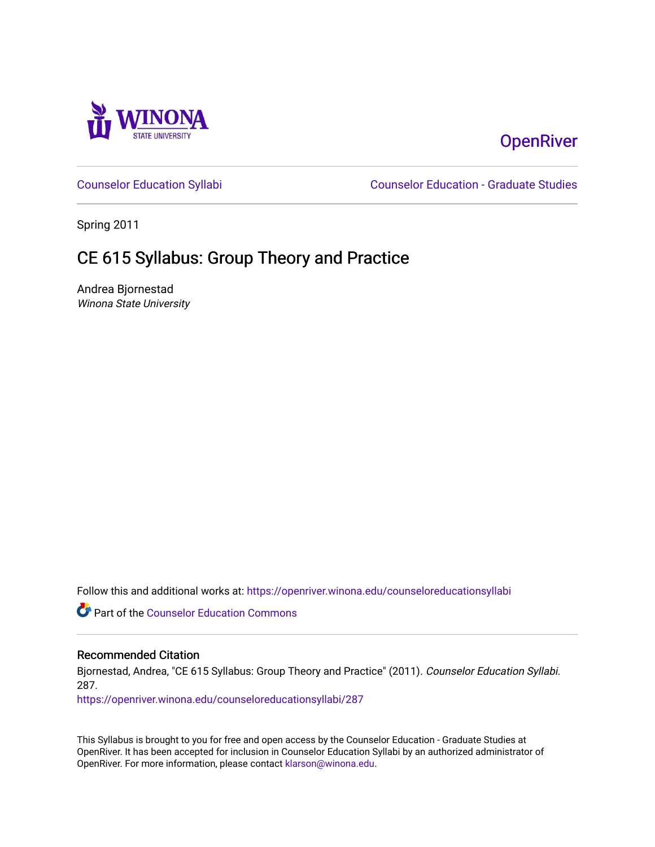

# **OpenRiver**

[Counselor Education Syllabi](https://openriver.winona.edu/counseloreducationsyllabi) [Counselor Education - Graduate Studies](https://openriver.winona.edu/counseloreducation) 

Spring 2011

# CE 615 Syllabus: Group Theory and Practice

Andrea Bjornestad Winona State University

Follow this and additional works at: [https://openriver.winona.edu/counseloreducationsyllabi](https://openriver.winona.edu/counseloreducationsyllabi?utm_source=openriver.winona.edu%2Fcounseloreducationsyllabi%2F287&utm_medium=PDF&utm_campaign=PDFCoverPages)

Part of the [Counselor Education Commons](http://network.bepress.com/hgg/discipline/1278?utm_source=openriver.winona.edu%2Fcounseloreducationsyllabi%2F287&utm_medium=PDF&utm_campaign=PDFCoverPages) 

#### Recommended Citation

Bjornestad, Andrea, "CE 615 Syllabus: Group Theory and Practice" (2011). Counselor Education Syllabi. 287.

[https://openriver.winona.edu/counseloreducationsyllabi/287](https://openriver.winona.edu/counseloreducationsyllabi/287?utm_source=openriver.winona.edu%2Fcounseloreducationsyllabi%2F287&utm_medium=PDF&utm_campaign=PDFCoverPages)

This Syllabus is brought to you for free and open access by the Counselor Education - Graduate Studies at OpenRiver. It has been accepted for inclusion in Counselor Education Syllabi by an authorized administrator of OpenRiver. For more information, please contact [klarson@winona.edu](mailto:klarson@winona.edu).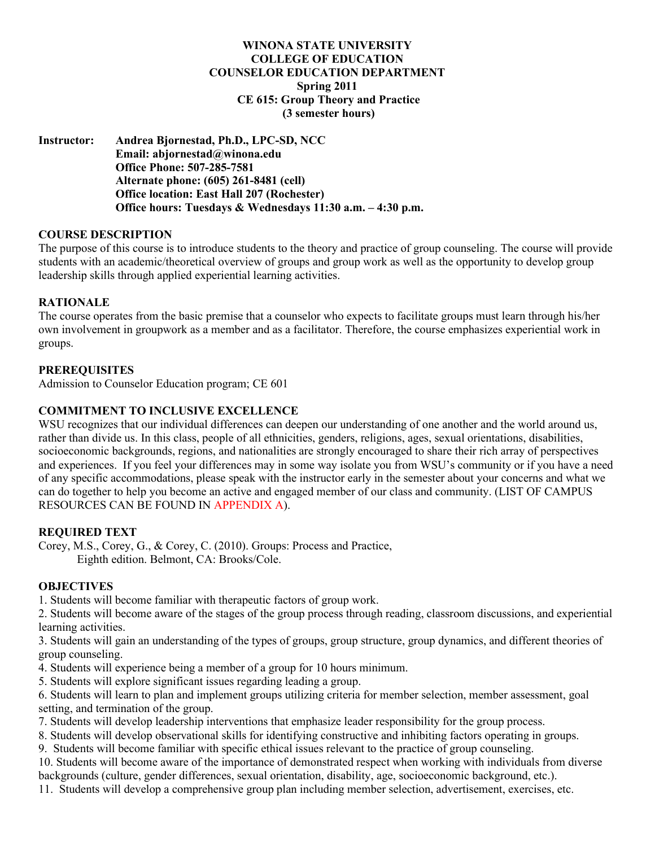## **WINONA STATE UNIVERSITY COLLEGE OF EDUCATION COUNSELOR EDUCATION DEPARTMENT Spring 2011 CE 615: Group Theory and Practice (3 semester hours)**

**Instructor: Andrea Bjornestad, Ph.D., LPC-SD, NCC Email: abjornestad@winona.edu Office Phone: 507-285-7581 Alternate phone: (605) 261-8481 (cell) Office location: East Hall 207 (Rochester) Office hours: Tuesdays & Wednesdays 11:30 a.m. – 4:30 p.m.**

#### **COURSE DESCRIPTION**

The purpose of this course is to introduce students to the theory and practice of group counseling. The course will provide students with an academic/theoretical overview of groups and group work as well as the opportunity to develop group leadership skills through applied experiential learning activities.

#### **RATIONALE**

The course operates from the basic premise that a counselor who expects to facilitate groups must learn through his/her own involvement in groupwork as a member and as a facilitator. Therefore, the course emphasizes experiential work in groups.

#### **PREREQUISITES**

Admission to Counselor Education program; CE 601

#### **COMMITMENT TO INCLUSIVE EXCELLENCE**

WSU recognizes that our individual differences can deepen our understanding of one another and the world around us, rather than divide us. In this class, people of all ethnicities, genders, religions, ages, sexual orientations, disabilities, socioeconomic backgrounds, regions, and nationalities are strongly encouraged to share their rich array of perspectives and experiences. If you feel your differences may in some way isolate you from WSU's community or if you have a need of any specific accommodations, please speak with the instructor early in the semester about your concerns and what we can do together to help you become an active and engaged member of our class and community. (LIST OF CAMPUS RESOURCES CAN BE FOUND IN APPENDIX A).

#### **REQUIRED TEXT**

Corey, M.S., Corey, G., & Corey, C. (2010). Groups: Process and Practice, Eighth edition. Belmont, CA: Brooks/Cole.

#### **OBJECTIVES**

1. Students will become familiar with therapeutic factors of group work.

2. Students will become aware of the stages of the group process through reading, classroom discussions, and experiential learning activities.

3. Students will gain an understanding of the types of groups, group structure, group dynamics, and different theories of group counseling.

- 4. Students will experience being a member of a group for 10 hours minimum.
- 5. Students will explore significant issues regarding leading a group.
- 6. Students will learn to plan and implement groups utilizing criteria for member selection, member assessment, goal setting, and termination of the group.
- 7. Students will develop leadership interventions that emphasize leader responsibility for the group process.
- 8. Students will develop observational skills for identifying constructive and inhibiting factors operating in groups.
- 9. Students will become familiar with specific ethical issues relevant to the practice of group counseling.
- 10. Students will become aware of the importance of demonstrated respect when working with individuals from diverse backgrounds (culture, gender differences, sexual orientation, disability, age, socioeconomic background, etc.).
- 11. Students will develop a comprehensive group plan including member selection, advertisement, exercises, etc.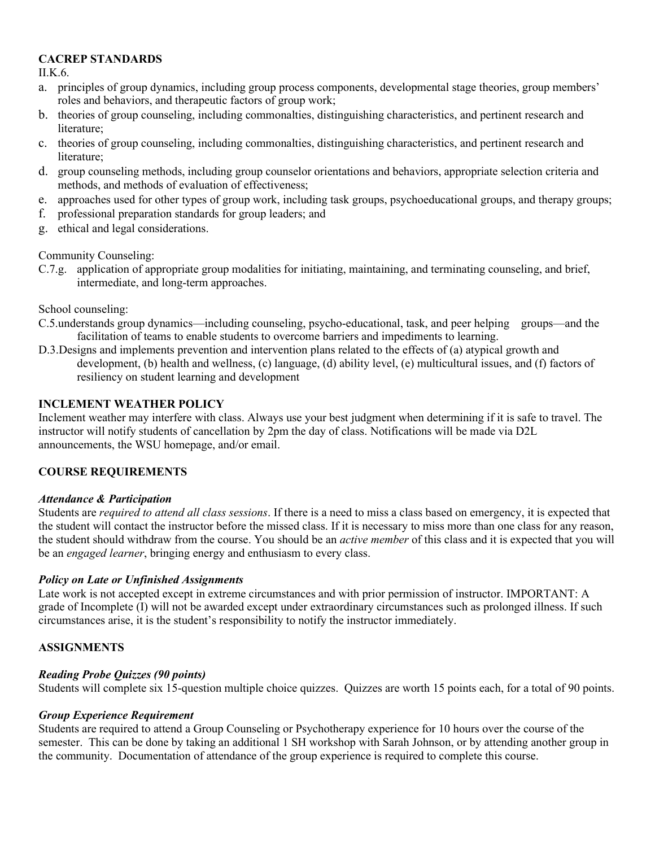## **CACREP STANDARDS**

II.K.6.

- a. principles of group dynamics, including group process components, developmental stage theories, group members' roles and behaviors, and therapeutic factors of group work;
- b. theories of group counseling, including commonalties, distinguishing characteristics, and pertinent research and literature;
- c. theories of group counseling, including commonalties, distinguishing characteristics, and pertinent research and literature;
- d. group counseling methods, including group counselor orientations and behaviors, appropriate selection criteria and methods, and methods of evaluation of effectiveness;
- e. approaches used for other types of group work, including task groups, psychoeducational groups, and therapy groups;
- f. professional preparation standards for group leaders; and
- g. ethical and legal considerations.

Community Counseling:

C.7.g. application of appropriate group modalities for initiating, maintaining, and terminating counseling, and brief, intermediate, and long-term approaches.

School counseling:

- C.5.understands group dynamics—including counseling, psycho-educational, task, and peer helping groups—and the facilitation of teams to enable students to overcome barriers and impediments to learning.
- D.3.Designs and implements prevention and intervention plans related to the effects of (a) atypical growth and development, (b) health and wellness, (c) language, (d) ability level, (e) multicultural issues, and (f) factors of resiliency on student learning and development

## **INCLEMENT WEATHER POLICY**

Inclement weather may interfere with class. Always use your best judgment when determining if it is safe to travel. The instructor will notify students of cancellation by 2pm the day of class. Notifications will be made via D2L announcements, the WSU homepage, and/or email.

## **COURSE REQUIREMENTS**

#### *Attendance & Participation*

Students are *required to attend all class sessions*. If there is a need to miss a class based on emergency, it is expected that the student will contact the instructor before the missed class. If it is necessary to miss more than one class for any reason, the student should withdraw from the course. You should be an *active member* of this class and it is expected that you will be an *engaged learner*, bringing energy and enthusiasm to every class.

## *Policy on Late or Unfinished Assignments*

Late work is not accepted except in extreme circumstances and with prior permission of instructor. IMPORTANT: A grade of Incomplete (I) will not be awarded except under extraordinary circumstances such as prolonged illness. If such circumstances arise, it is the student's responsibility to notify the instructor immediately.

## **ASSIGNMENTS**

#### *Reading Probe Quizzes (90 points)*

Students will complete six 15-question multiple choice quizzes. Quizzes are worth 15 points each, for a total of 90 points.

#### *Group Experience Requirement*

Students are required to attend a Group Counseling or Psychotherapy experience for 10 hours over the course of the semester. This can be done by taking an additional 1 SH workshop with Sarah Johnson, or by attending another group in the community. Documentation of attendance of the group experience is required to complete this course.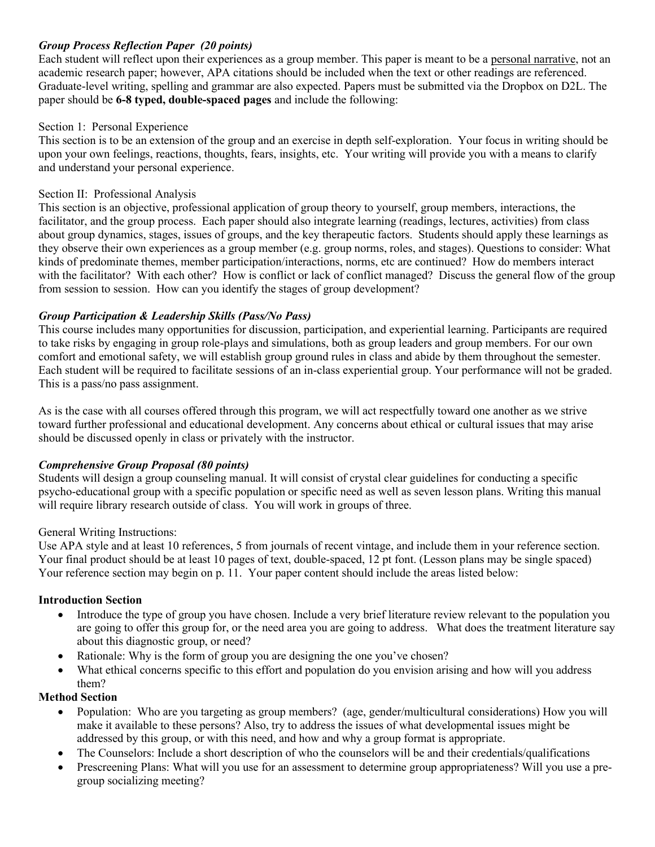## *Group Process Reflection Paper (20 points)*

Each student will reflect upon their experiences as a group member. This paper is meant to be a personal narrative, not an academic research paper; however, APA citations should be included when the text or other readings are referenced. Graduate-level writing, spelling and grammar are also expected. Papers must be submitted via the Dropbox on D2L. The paper should be **6-8 typed, double-spaced pages** and include the following:

## Section 1: Personal Experience

This section is to be an extension of the group and an exercise in depth self-exploration. Your focus in writing should be upon your own feelings, reactions, thoughts, fears, insights, etc. Your writing will provide you with a means to clarify and understand your personal experience.

## Section II: Professional Analysis

This section is an objective, professional application of group theory to yourself, group members, interactions, the facilitator, and the group process. Each paper should also integrate learning (readings, lectures, activities) from class about group dynamics, stages, issues of groups, and the key therapeutic factors. Students should apply these learnings as they observe their own experiences as a group member (e.g. group norms, roles, and stages). Questions to consider: What kinds of predominate themes, member participation/interactions, norms, etc are continued? How do members interact with the facilitator? With each other? How is conflict or lack of conflict managed? Discuss the general flow of the group from session to session. How can you identify the stages of group development?

## *Group Participation & Leadership Skills (Pass/No Pass)*

This course includes many opportunities for discussion, participation, and experiential learning. Participants are required to take risks by engaging in group role-plays and simulations, both as group leaders and group members. For our own comfort and emotional safety, we will establish group ground rules in class and abide by them throughout the semester. Each student will be required to facilitate sessions of an in-class experiential group. Your performance will not be graded. This is a pass/no pass assignment.

As is the case with all courses offered through this program, we will act respectfully toward one another as we strive toward further professional and educational development. Any concerns about ethical or cultural issues that may arise should be discussed openly in class or privately with the instructor.

## *Comprehensive Group Proposal (80 points)*

Students will design a group counseling manual. It will consist of crystal clear guidelines for conducting a specific psycho-educational group with a specific population or specific need as well as seven lesson plans. Writing this manual will require library research outside of class. You will work in groups of three.

#### General Writing Instructions:

Use APA style and at least 10 references, 5 from journals of recent vintage, and include them in your reference section. Your final product should be at least 10 pages of text, double-spaced, 12 pt font. (Lesson plans may be single spaced) Your reference section may begin on p. 11. Your paper content should include the areas listed below:

#### **Introduction Section**

- Introduce the type of group you have chosen. Include a very brief literature review relevant to the population you are going to offer this group for, or the need area you are going to address. What does the treatment literature say about this diagnostic group, or need?
- Rationale: Why is the form of group you are designing the one you've chosen?
- What ethical concerns specific to this effort and population do you envision arising and how will you address them?

#### **Method Section**

- Population: Who are you targeting as group members? (age, gender/multicultural considerations) How you will make it available to these persons? Also, try to address the issues of what developmental issues might be addressed by this group, or with this need, and how and why a group format is appropriate.
- The Counselors: Include a short description of who the counselors will be and their credentials/qualifications
- Prescreening Plans: What will you use for an assessment to determine group appropriateness? Will you use a pregroup socializing meeting?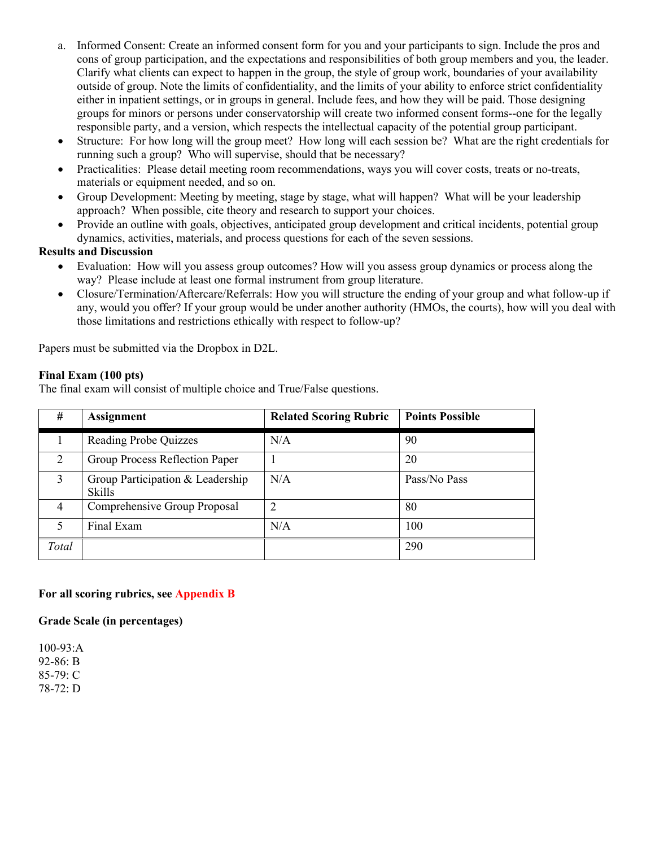- a. Informed Consent: Create an informed consent form for you and your participants to sign. Include the pros and cons of group participation, and the expectations and responsibilities of both group members and you, the leader. Clarify what clients can expect to happen in the group, the style of group work, boundaries of your availability outside of group. Note the limits of confidentiality, and the limits of your ability to enforce strict confidentiality either in inpatient settings, or in groups in general. Include fees, and how they will be paid. Those designing groups for minors or persons under conservatorship will create two informed consent forms--one for the legally responsible party, and a version, which respects the intellectual capacity of the potential group participant.
- Structure: For how long will the group meet? How long will each session be? What are the right credentials for running such a group? Who will supervise, should that be necessary?
- Practicalities: Please detail meeting room recommendations, ways you will cover costs, treats or no-treats, materials or equipment needed, and so on.
- Group Development: Meeting by meeting, stage by stage, what will happen? What will be your leadership approach? When possible, cite theory and research to support your choices.
- Provide an outline with goals, objectives, anticipated group development and critical incidents, potential group dynamics, activities, materials, and process questions for each of the seven sessions.

## **Results and Discussion**

- Evaluation: How will you assess group outcomes? How will you assess group dynamics or process along the way? Please include at least one formal instrument from group literature.
- Closure/Termination/Aftercare/Referrals: How you will structure the ending of your group and what follow-up if any, would you offer? If your group would be under another authority (HMOs, the courts), how will you deal with those limitations and restrictions ethically with respect to follow-up?

Papers must be submitted via the Dropbox in D2L.

## **Final Exam (100 pts)**

The final exam will consist of multiple choice and True/False questions.

| #     | <b>Assignment</b>                                 | <b>Related Scoring Rubric</b> | <b>Points Possible</b> |
|-------|---------------------------------------------------|-------------------------------|------------------------|
|       | <b>Reading Probe Quizzes</b>                      | N/A                           | 90                     |
| 2     | Group Process Reflection Paper                    |                               | 20                     |
| 3     | Group Participation & Leadership<br><b>Skills</b> | N/A                           | Pass/No Pass           |
| 4     | Comprehensive Group Proposal                      | $\overline{2}$                | 80                     |
| 5     | Final Exam                                        | N/A                           | 100                    |
| Total |                                                   |                               | 290                    |

## **For all scoring rubrics, see Appendix B**

#### **Grade Scale (in percentages)**

100-93:A 92-86: B 85-79: C 78-72: D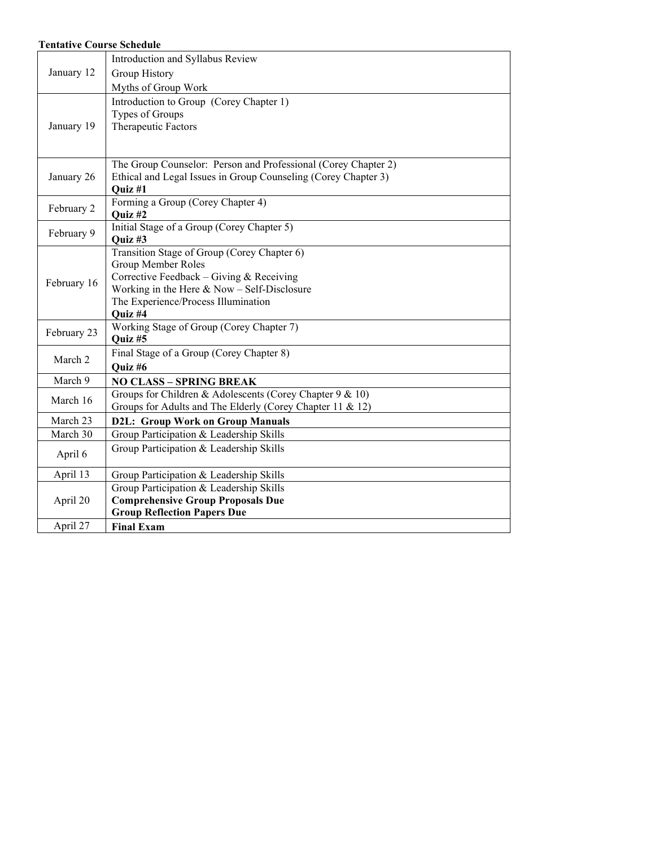#### **Tentative Course Schedule**

|             | Introduction and Syllabus Review                               |  |  |
|-------------|----------------------------------------------------------------|--|--|
| January 12  | Group History                                                  |  |  |
|             | Myths of Group Work                                            |  |  |
|             | Introduction to Group (Corey Chapter 1)                        |  |  |
|             | Types of Groups                                                |  |  |
| January 19  | Therapeutic Factors                                            |  |  |
|             |                                                                |  |  |
|             |                                                                |  |  |
|             | The Group Counselor: Person and Professional (Corey Chapter 2) |  |  |
| January 26  | Ethical and Legal Issues in Group Counseling (Corey Chapter 3) |  |  |
|             | Quiz #1<br>Forming a Group (Corey Chapter 4)                   |  |  |
| February 2  | Quiz #2                                                        |  |  |
|             | Initial Stage of a Group (Corey Chapter 5)                     |  |  |
| February 9  | Quiz #3                                                        |  |  |
|             | Transition Stage of Group (Corey Chapter 6)                    |  |  |
|             | Group Member Roles                                             |  |  |
| February 16 | Corrective Feedback - Giving & Receiving                       |  |  |
|             | Working in the Here $& Now - Self-Disclosure$                  |  |  |
|             | The Experience/Process Illumination                            |  |  |
|             | Quiz #4                                                        |  |  |
| February 23 | Working Stage of Group (Corey Chapter 7)<br>Quiz #5            |  |  |
|             | Final Stage of a Group (Corey Chapter 8)                       |  |  |
| March 2     | Ouiz #6                                                        |  |  |
| March 9     | <b>NO CLASS - SPRING BREAK</b>                                 |  |  |
|             | Groups for Children & Adolescents (Corey Chapter 9 & 10)       |  |  |
| March 16    | Groups for Adults and The Elderly (Corey Chapter 11 & 12)      |  |  |
| March 23    | <b>D2L: Group Work on Group Manuals</b>                        |  |  |
| March 30    | Group Participation & Leadership Skills                        |  |  |
| April 6     | Group Participation & Leadership Skills                        |  |  |
|             |                                                                |  |  |
| April 13    | Group Participation & Leadership Skills                        |  |  |
|             | Group Participation & Leadership Skills                        |  |  |
| April 20    | <b>Comprehensive Group Proposals Due</b>                       |  |  |
|             | <b>Group Reflection Papers Due</b>                             |  |  |
| April 27    | <b>Final Exam</b>                                              |  |  |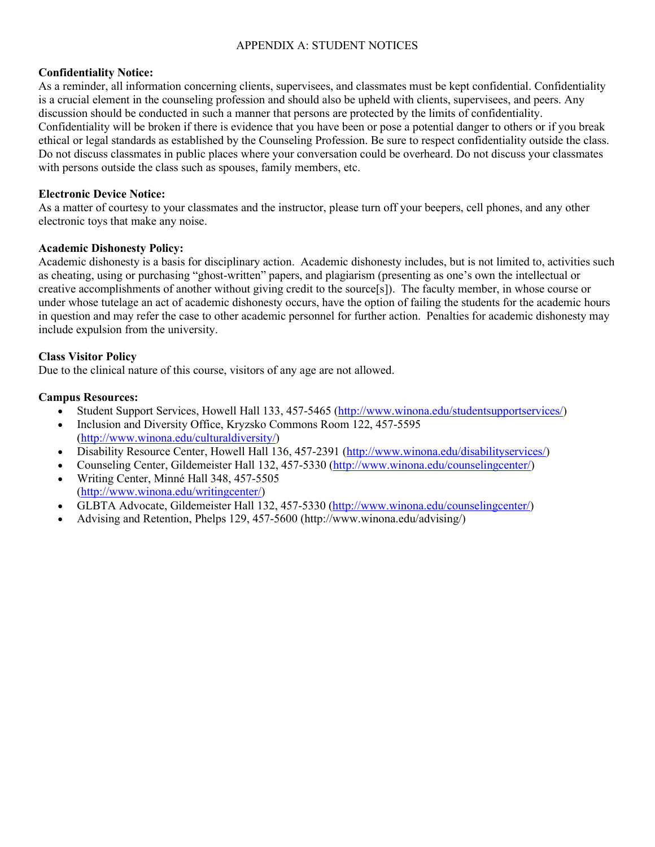## APPENDIX A: STUDENT NOTICES

#### **Confidentiality Notice:**

As a reminder, all information concerning clients, supervisees, and classmates must be kept confidential. Confidentiality is a crucial element in the counseling profession and should also be upheld with clients, supervisees, and peers. Any discussion should be conducted in such a manner that persons are protected by the limits of confidentiality. Confidentiality will be broken if there is evidence that you have been or pose a potential danger to others or if you break ethical or legal standards as established by the Counseling Profession. Be sure to respect confidentiality outside the class. Do not discuss classmates in public places where your conversation could be overheard. Do not discuss your classmates with persons outside the class such as spouses, family members, etc.

## **Electronic Device Notice:**

As a matter of courtesy to your classmates and the instructor, please turn off your beepers, cell phones, and any other electronic toys that make any noise.

#### **Academic Dishonesty Policy:**

Academic dishonesty is a basis for disciplinary action. Academic dishonesty includes, but is not limited to, activities such as cheating, using or purchasing "ghost-written" papers, and plagiarism (presenting as one's own the intellectual or creative accomplishments of another without giving credit to the source[s]). The faculty member, in whose course or under whose tutelage an act of academic dishonesty occurs, have the option of failing the students for the academic hours in question and may refer the case to other academic personnel for further action. Penalties for academic dishonesty may include expulsion from the university.

## **Class Visitor Policy**

Due to the clinical nature of this course, visitors of any age are not allowed.

## **Campus Resources:**

- Student Support Services, Howell Hall 133, 457-5465 [\(http://www.winona.edu/studentsupportservices/\)](http://www.winona.edu/studentsupportservices/)
- Inclusion and Diversity Office, Kryzsko Commons Room 122, 457-5595 [\(http://www.winona.edu/culturaldiversity/\)](http://www.winona.edu/culturaldiversity/)
- Disability Resource Center, Howell Hall 136, 457-2391 [\(http://www.winona.edu/disabilityservices/\)](http://www.winona.edu/disabilityservices/)
- Counseling Center, Gildemeister Hall 132, 457-5330 [\(http://www.winona.edu/counselingcenter/\)](http://www.winona.edu/counselingcenter/)
- Writing Center, Minné Hall 348, 457-5505 [\(http://www.winona.edu/writingcenter/\)](http://www.winona.edu/writingcenter/)
- GLBTA Advocate, Gildemeister Hall 132, 457-5330 [\(http://www.winona.edu/counselingcenter/\)](http://www.winona.edu/counselingcenter/)
- Advising and Retention, Phelps 129, 457-5600 (http://www.winona.edu/advising/)